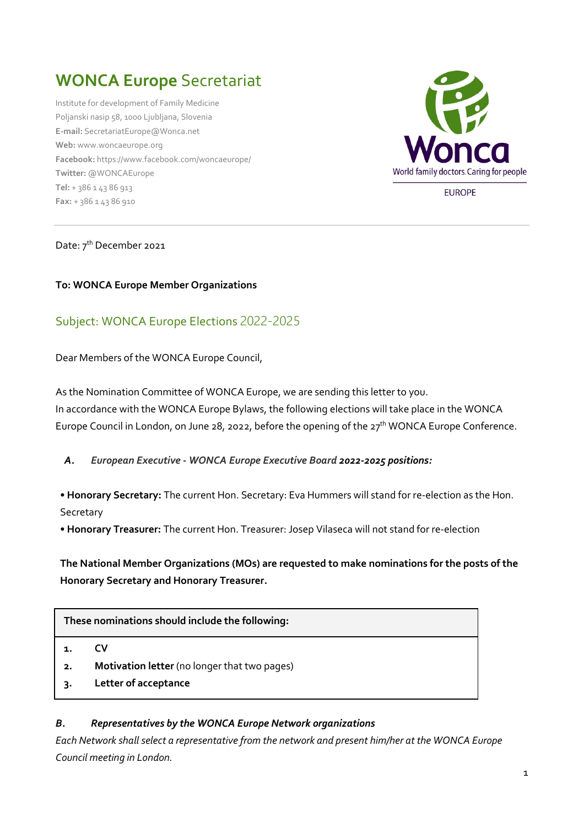# **WONCA Europe** Secretariat

Institute for development of Family Medicine Poljanski nasip 58, 1000 Ljubljana, Slovenia **E-mail:** [SecretariatEurope@Wonca.net](mailto:SecretariatEurope@Wonca.net) **Web:** [www.woncaeurope.org](http://www.woncaeurope.org/) **Facebook:** <https://www.facebook.com/woncaeurope/> **Twitter:** [@WONCAEurope](http://twitter.com/WoncaEurope) **Tel:** + 386 1 43 86 913 **Fax:** + 386 1 43 86 910



**EUROPE** 

#### Date: 7<sup>th</sup> December 2021

#### **To: WONCA Europe Member Organizations**

# Subject: WONCA Europe Elections 2022-2025

Dear Members of the WONCA Europe Council,

As the Nomination Committee of WONCA Europe, we are sending this letter to you. In accordance with the WONCA Europe Bylaws, the following elections will take place in the WONCA Europe Council in London, on June 28, 2022, before the opening of the 27<sup>th</sup> WONCA Europe Conference.

#### *A. European Executive - WONCA Europe Executive Board 2022-2025 positions:*

• **Honorary Secretary:** The current Hon. Secretary: Eva Hummers will stand for re-election as the Hon. **Secretary** 

• **Honorary Treasurer:** The current Hon. Treasurer: Josep Vilaseca will not stand for re-election

**The National Member Organizations (MOs) are requested to make nominations for the posts of the Honorary Secretary and Honorary Treasurer.** 

**These nominations should include the following:**

- **1. CV**
- **2. Motivation letter** (no longer that two pages)
- **3. Letter of acceptance**

#### *B. Representatives by the WONCA Europe Network organizations*

*Each Network shall select a representative from the network and present him/her at the WONCA Europe Council meeting in London.*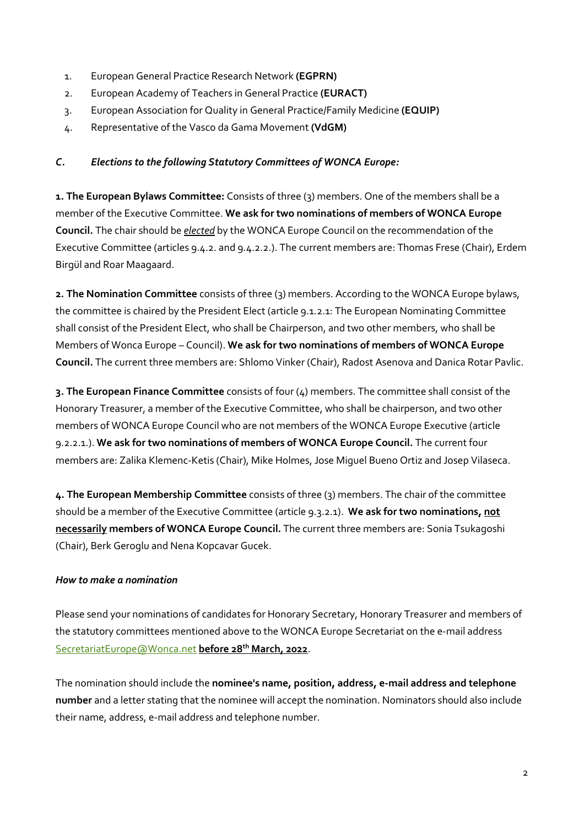- 1. European General Practice Research Network **(EGPRN)**
- 2. European Academy of Teachers in General Practice **(EURACT)**
- 3. European Association for Quality in General Practice/Family Medicine **(EQUIP)**
- 4. Representative of the Vasco da Gama Movement **(VdGM)**

## *C. Elections to the following Statutory Committees of WONCA Europe:*

**1. The European Bylaws Committee:** Consists of three (3) members. One of the members shall be a member of the Executive Committee. **We ask for two nominations of members of WONCA Europe Council.** The chair should be *elected* by the WONCA Europe Council on the recommendation of the Executive Committee (articles 9.4.2. and 9.4.2.2.). The current members are: Thomas Frese (Chair), Erdem Birgül and Roar Maagaard.

**2. The Nomination Committee** consists of three (3) members. According to the WONCA Europe bylaws, the committee is chaired by the President Elect (article 9.1.2.1: The European Nominating Committee shall consist of the President Elect, who shall be Chairperson, and two other members, who shall be Members of Wonca Europe – Council). **We ask for two nominations of members of WONCA Europe Council.** The current three members are: Shlomo Vinker (Chair), Radost Asenova and Danica Rotar Pavlic.

**3. The European Finance Committee** consists of four (4) members. The committee shall consist of the Honorary Treasurer, a member of the Executive Committee, who shall be chairperson, and two other members of WONCA Europe Council who are not members of the WONCA Europe Executive (article 9.2.2.1.). **We ask for two nominations of members of WONCA Europe Council.** The current four members are: Zalika Klemenc-Ketis (Chair), Mike Holmes, Jose Miguel Bueno Ortiz and Josep Vilaseca.

**4. The European Membership Committee** consists of three (3) members. The chair of the committee should be a member of the Executive Committee (article 9.3.2.1). **We ask for two nominations, not necessarily members of WONCA Europe Council.** The current three members are: Sonia Tsukagoshi (Chair), Berk Geroglu and Nena Kopcavar Gucek.

## *How to make a nomination*

Please send your nominations of candidates for Honorary Secretary, Honorary Treasurer and members of the statutory committees mentioned above to the WONCA Europe Secretariat on the e-mail address [SecretariatEurope@Wonca.net](mailto:SecretariatEurope@Wonca.net) **before 28th March, 2022**.

The nomination should include the **nominee's name, position, address, e-mail address and telephone number** and a letter stating that the nominee will accept the nomination. Nominators should also include their name, address, e-mail address and telephone number.